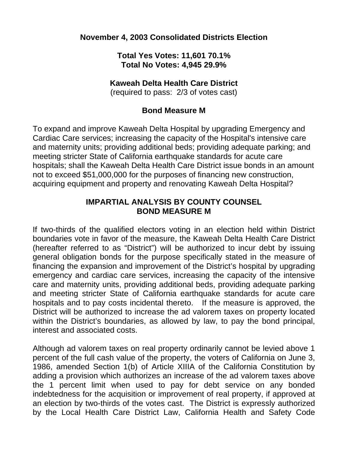## **November 4, 2003 Consolidated Districts Election**

### **Total Yes Votes: 11,601 70.1% Total No Votes: 4,945 29.9%**

#### **Kaweah Delta Health Care District**

(required to pass: 2/3 of votes cast)

## **Bond Measure M**

To expand and improve Kaweah Delta Hospital by upgrading Emergency and Cardiac Care services; increasing the capacity of the Hospital's intensive care and maternity units; providing additional beds; providing adequate parking; and meeting stricter State of California earthquake standards for acute care hospitals; shall the Kaweah Delta Health Care District issue bonds in an amount not to exceed \$51,000,000 for the purposes of financing new construction, acquiring equipment and property and renovating Kaweah Delta Hospital?

#### **IMPARTIAL ANALYSIS BY COUNTY COUNSEL BOND MEASURE M**

If two-thirds of the qualified electors voting in an election held within District boundaries vote in favor of the measure, the Kaweah Delta Health Care District (hereafter referred to as "District") will be authorized to incur debt by issuing general obligation bonds for the purpose specifically stated in the measure of financing the expansion and improvement of the District's hospital by upgrading emergency and cardiac care services, increasing the capacity of the intensive care and maternity units, providing additional beds, providing adequate parking and meeting stricter State of California earthquake standards for acute care hospitals and to pay costs incidental thereto. If the measure is approved, the District will be authorized to increase the ad valorem taxes on property located within the District's boundaries, as allowed by law, to pay the bond principal, interest and associated costs.

Although ad valorem taxes on real property ordinarily cannot be levied above 1 percent of the full cash value of the property, the voters of California on June 3, 1986, amended Section 1(b) of Article XIIIA of the California Constitution by adding a provision which authorizes an increase of the ad valorem taxes above the 1 percent limit when used to pay for debt service on any bonded indebtedness for the acquisition or improvement of real property, if approved at an election by two-thirds of the votes cast. The District is expressly authorized by the Local Health Care District Law, California Health and Safety Code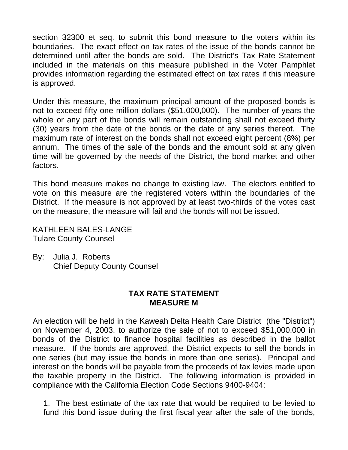section 32300 et seq. to submit this bond measure to the voters within its boundaries. The exact effect on tax rates of the issue of the bonds cannot be determined until after the bonds are sold. The District's Tax Rate Statement included in the materials on this measure published in the Voter Pamphlet provides information regarding the estimated effect on tax rates if this measure is approved.

Under this measure, the maximum principal amount of the proposed bonds is not to exceed fifty-one million dollars (\$51,000,000). The number of years the whole or any part of the bonds will remain outstanding shall not exceed thirty (30) years from the date of the bonds or the date of any series thereof. The maximum rate of interest on the bonds shall not exceed eight percent (8%) per annum. The times of the sale of the bonds and the amount sold at any given time will be governed by the needs of the District, the bond market and other factors.

This bond measure makes no change to existing law. The electors entitled to vote on this measure are the registered voters within the boundaries of the District. If the measure is not approved by at least two-thirds of the votes cast on the measure, the measure will fail and the bonds will not be issued.

KATHLEEN BALES-LANGE Tulare County Counsel

By: Julia J. Roberts Chief Deputy County Counsel

## **TAX RATE STATEMENT MEASURE M**

An election will be held in the Kaweah Delta Health Care District (the "District") on November 4, 2003, to authorize the sale of not to exceed \$51,000,000 in bonds of the District to finance hospital facilities as described in the ballot measure. If the bonds are approved, the District expects to sell the bonds in one series (but may issue the bonds in more than one series). Principal and interest on the bonds will be payable from the proceeds of tax levies made upon the taxable property in the District. The following information is provided in compliance with the California Election Code Sections 9400-9404:

1. The best estimate of the tax rate that would be required to be levied to fund this bond issue during the first fiscal year after the sale of the bonds,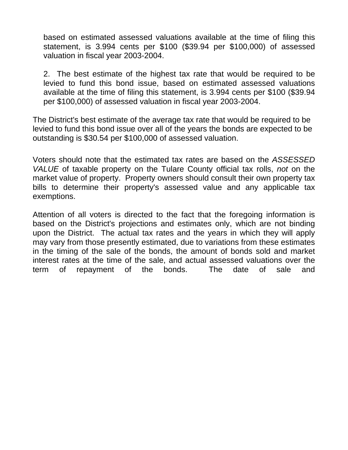based on estimated assessed valuations available at the time of filing this statement, is 3.994 cents per \$100 (\$39.94 per \$100,000) of assessed valuation in fiscal year 2003-2004.

2. The best estimate of the highest tax rate that would be required to be levied to fund this bond issue, based on estimated assessed valuations available at the time of filing this statement, is 3.994 cents per \$100 (\$39.94 per \$100,000) of assessed valuation in fiscal year 2003-2004.

The District's best estimate of the average tax rate that would be required to be levied to fund this bond issue over all of the years the bonds are expected to be outstanding is \$30.54 per \$100,000 of assessed valuation.

Voters should note that the estimated tax rates are based on the *ASSESSED VALUE* of taxable property on the Tulare County official tax rolls, *not* on the market value of property. Property owners should consult their own property tax bills to determine their property's assessed value and any applicable tax exemptions.

Attention of all voters is directed to the fact that the foregoing information is based on the District's projections and estimates only, which are not binding upon the District. The actual tax rates and the years in which they will apply may vary from those presently estimated, due to variations from these estimates in the timing of the sale of the bonds, the amount of bonds sold and market interest rates at the time of the sale, and actual assessed valuations over the term of repayment of the bonds. The date of sale and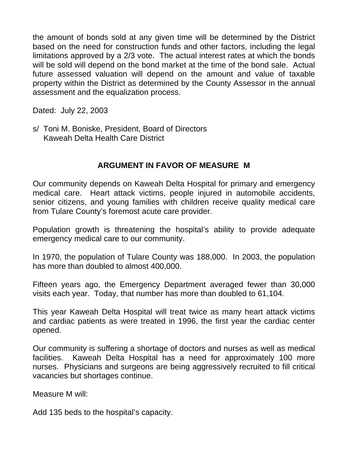the amount of bonds sold at any given time will be determined by the District based on the need for construction funds and other factors, including the legal limitations approved by a 2/3 vote. The actual interest rates at which the bonds will be sold will depend on the bond market at the time of the bond sale. Actual future assessed valuation will depend on the amount and value of taxable property within the District as determined by the County Assessor in the annual assessment and the equalization process.

Dated: July 22, 2003

s/ Toni M. Boniske, President, Board of Directors Kaweah Delta Health Care District

# **ARGUMENT IN FAVOR OF MEASURE M**

Our community depends on Kaweah Delta Hospital for primary and emergency medical care. Heart attack victims, people injured in automobile accidents, senior citizens, and young families with children receive quality medical care from Tulare County's foremost acute care provider.

Population growth is threatening the hospital's ability to provide adequate emergency medical care to our community.

In 1970, the population of Tulare County was 188,000. In 2003, the population has more than doubled to almost 400,000.

Fifteen years ago, the Emergency Department averaged fewer than 30,000 visits each year. Today, that number has more than doubled to 61,104.

This year Kaweah Delta Hospital will treat twice as many heart attack victims and cardiac patients as were treated in 1996, the first year the cardiac center opened.

Our community is suffering a shortage of doctors and nurses as well as medical facilities. Kaweah Delta Hospital has a need for approximately 100 more nurses. Physicians and surgeons are being aggressively recruited to fill critical vacancies but shortages continue.

Measure M will:

Add 135 beds to the hospital's capacity.